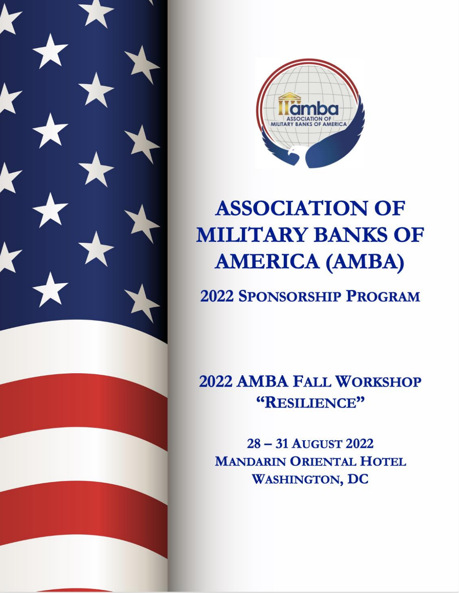



# **ASSOCIATION OF MILITARY BANKS OF AMERICA (AMBA)**

**2022 SPONSORSHIP PROGRAM** 

**2022 AMBA FALL WORKSHOP** "RESILIENCE"

28-31 AUGUST 2022 **MANDARIN ORIENTAL HOTEL WASHINGTON, DC**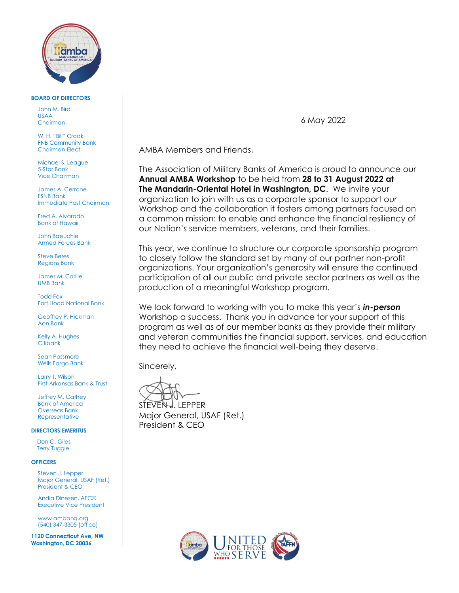

### **BOARD OF DIRECTORS**

John M. Bird USAA Chairman

W. H. "Bill" Croak FNB Community Bank Chairman-Elect

Michael S. League 5-Star Bank Vice Chairman

James A. Cerrone FSNB Bank Immediate Past Chairman

Fred A. Alvarado Bank of Hawaii

John Baeuchle Armed Forces Bank

Steve Beres Regions Bank

James M. Carlile UMB Bank

Todd Fox Fort Hood National Bank

Geoffrey P. Hickman Aon Bank

Kelly A. Hughes **Citibank** 

Sean Passmore Wells Fargo Bank

Larry T. Wilson First Arkansas Bank & Trust

Jeffrey M. Cathey Bank of America Overseas Bank **Representative** 

### **DIRECTORS EMERITUS**

Don C. Giles Terry Tuggle

### **OFFICERS**

Steven J. Lepper Major General, USAF (Ret.) President & CEO

Andia Dinesen, AFC© Executive Vice President

www.ambahq.org (540) 347-3305 (office)

**1120 Connecticut Ave, NW Washington, DC 20036**

6 May 2022

AMBA Members and Friends,

The Association of Military Banks of America is proud to announce our **Annual AMBA Workshop** to be held from **28 to 31 August 2022 at The Mandarin-Oriental Hotel in Washington, DC**. We invite your organization to join with us as a corporate sponsor to support our Workshop and the collaboration it fosters among partners focused on a common mission: to enable and enhance the financial resiliency of our Nation's service members, veterans, and their families.

This year, we continue to structure our corporate sponsorship program to closely follow the standard set by many of our partner non-profit organizations. Your organization's generosity will ensure the continued participation of all our public and private sector partners as well as the production of a meaningful Workshop program.

We look forward to working with you to make this year's *in-person*  Workshop a success. Thank you in advance for your support of this program as well as of our member banks as they provide their military and veteran communities the financial support, services, and education they need to achieve the financial well-being they deserve.

Sincerely,

FNJ. I FPPFR Major General, USAF (Ret.) President & CEO

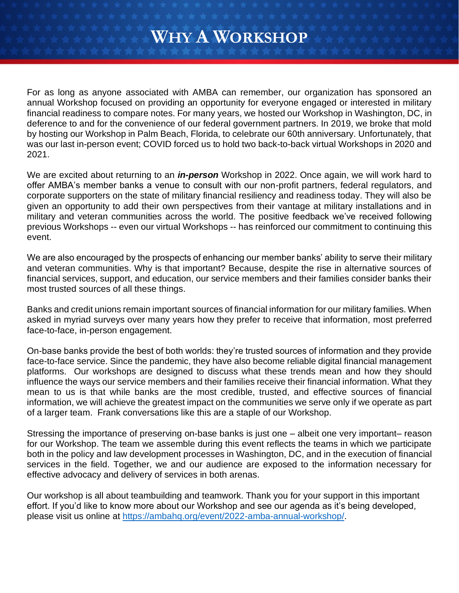# **WHY A WORKSHOP**

For as long as anyone associated with AMBA can remember, our organization has sponsored an annual Workshop focused on providing an opportunity for everyone engaged or interested in military financial readiness to compare notes. For many years, we hosted our Workshop in Washington, DC, in deference to and for the convenience of our federal government partners. In 2019, we broke that mold by hosting our Workshop in Palm Beach, Florida, to celebrate our 60th anniversary. Unfortunately, that was our last in-person event; COVID forced us to hold two back-to-back virtual Workshops in 2020 and 2021.

We are excited about returning to an *in-person* Workshop in 2022. Once again, we will work hard to offer AMBA's member banks a venue to consult with our non-profit partners, federal regulators, and corporate supporters on the state of military financial resiliency and readiness today. They will also be given an opportunity to add their own perspectives from their vantage at military installations and in military and veteran communities across the world. The positive feedback we've received following previous Workshops -- even our virtual Workshops -- has reinforced our commitment to continuing this event.

We are also encouraged by the prospects of enhancing our member banks' ability to serve their military and veteran communities. Why is that important? Because, despite the rise in alternative sources of financial services, support, and education, our service members and their families consider banks their most trusted sources of all these things.

Banks and credit unions remain important sources of financial information for our military families. When asked in myriad surveys over many years how they prefer to receive that information, most preferred face-to-face, in-person engagement.

On-base banks provide the best of both worlds: they're trusted sources of information and they provide face-to-face service. Since the pandemic, they have also become reliable digital financial management platforms. Our workshops are designed to discuss what these trends mean and how they should influence the ways our service members and their families receive their financial information. What they mean to us is that while banks are the most credible, trusted, and effective sources of financial information, we will achieve the greatest impact on the communities we serve only if we operate as part of a larger team. Frank conversations like this are a staple of our Workshop.

Stressing the importance of preserving on-base banks is just one – albeit one very important– reason for our Workshop. The team we assemble during this event reflects the teams in which we participate both in the policy and law development processes in Washington, DC, and in the execution of financial services in the field. Together, we and our audience are exposed to the information necessary for effective advocacy and delivery of services in both arenas.

Our workshop is all about teambuilding and teamwork. Thank you for your support in this important effort. If you'd like to know more about our Workshop and see our agenda as it's being developed, please visit us online at [https://ambahq.org/event/2022-amba-annual-workshop/.](https://ambahq.org/event/2022-amba-annual-workshop/)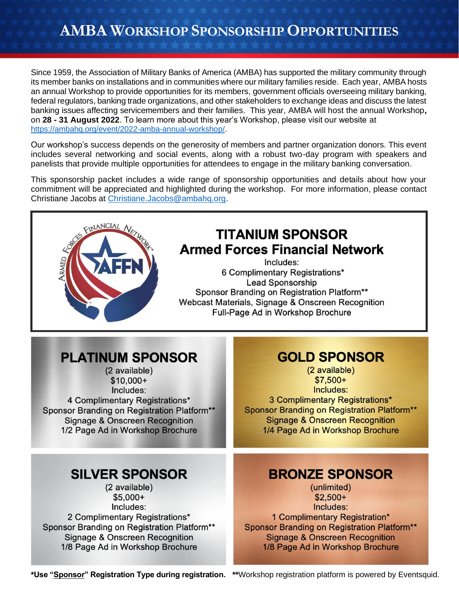Since 1959, the Association of Military Banks of America (AMBA) has supported the military community through its member banks on installations and in communities where our military families reside. Each year, AMBA hosts an annual Workshop to provide opportunities for its members, government officials overseeing military banking, federal regulators, banking trade organizations, and other stakeholders to exchange ideas and discuss the latest banking issues affecting servicemembers and their families. This year, AMBA will host the annual Workshop**,**  on **28 - 31 August 2022**. To learn more about this year's Workshop, please visit our website at [https://ambahq.org/event/2022-amba-annual-workshop/.](https://ambahq.org/event/2022-amba-annual-workshop/)

Our workshop's success depends on the generosity of members and partner organization donors. This event includes several networking and social events, along with a robust two-day program with speakers and panelists that provide multiple opportunities for attendees to engage in the military banking conversation.

This sponsorship packet includes a wide range of sponsorship opportunities and details about how your commitment will be appreciated and highlighted during the workshop. For more information, please contact Christiane Jacobs at [Christiane.Jacobs@ambahq.org.](mailto:Christiane.Jacobs@ambahq.org)



**\*Use "Sponsor" Registration Type during registration. \*\***Workshop registration platform is powered by Eventsquid.